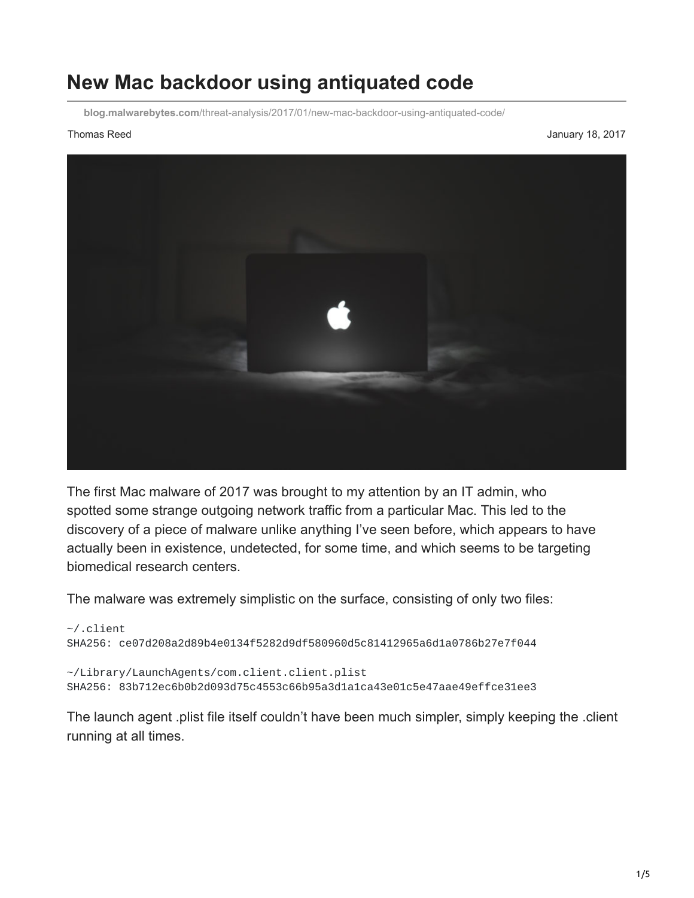## **New Mac backdoor using antiquated code**

**blog.malwarebytes.com**[/threat-analysis/2017/01/new-mac-backdoor-using-antiquated-code/](https://blog.malwarebytes.com/threat-analysis/2017/01/new-mac-backdoor-using-antiquated-code/)

Thomas Reed **January 18, 2017 January 18, 2017** 



The first Mac malware of 2017 was brought to my attention by an IT admin, who spotted some strange outgoing network traffic from a particular Mac. This led to the discovery of a piece of malware unlike anything I've seen before, which appears to have actually been in existence, undetected, for some time, and which seems to be targeting biomedical research centers.

The malware was extremely simplistic on the surface, consisting of only two files:

```
~/.client
SHA256: ce07d208a2d89b4e0134f5282d9df580960d5c81412965a6d1a0786b27e7f044
~/Library/LaunchAgents/com.client.client.plist
```
SHA256: 83b712ec6b0b2d093d75c4553c66b95a3d1a1ca43e01c5e47aae49effce31ee3

The launch agent .plist file itself couldn't have been much simpler, simply keeping the .client running at all times.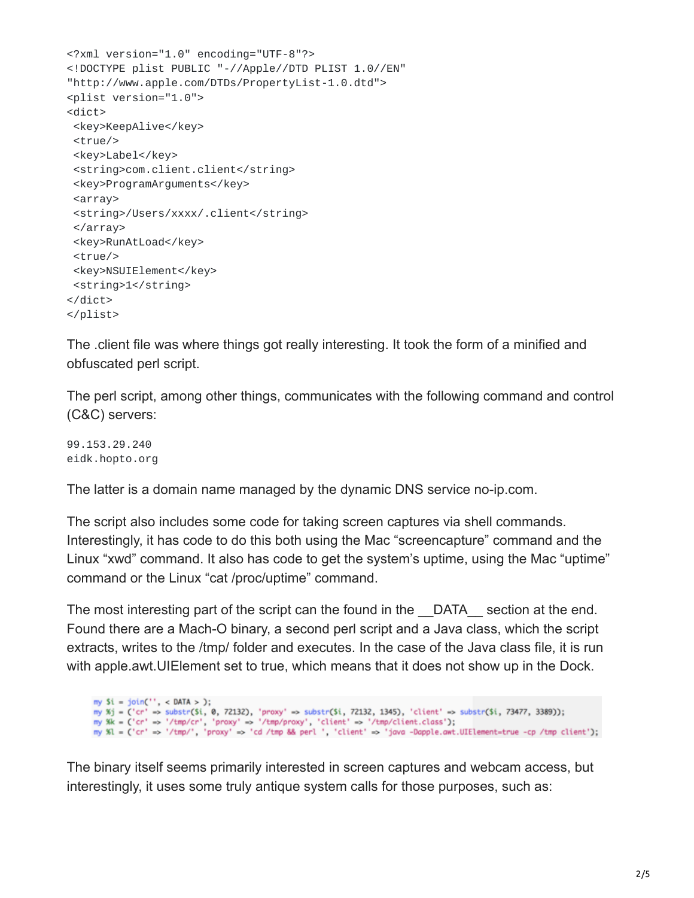```
<?xml version="1.0" encoding="UTF-8"?>
<!DOCTYPE plist PUBLIC "-//Apple//DTD PLIST 1.0//EN"
"http://www.apple.com/DTDs/PropertyList-1.0.dtd">
<plist version="1.0">
<dict>
<key>KeepAlive</key>
<true/<key>Label</key>
<string>com.client.client</string>
 <key>ProgramArguments</key>
<array>
<string>/Users/xxxx/.client</string>
 </array>
 <key>RunAtLoad</key>
 <true/>
<key>NSUIElement</key>
<string>1</string>
</dict>
</plist>
```
The .client file was where things got really interesting. It took the form of a minified and obfuscated perl script.

The perl script, among other things, communicates with the following command and control (C&C) servers:

99.153.29.240 eidk.hopto.org

The latter is a domain name managed by the dynamic DNS service no-ip.com.

The script also includes some code for taking screen captures via shell commands. Interestingly, it has code to do this both using the Mac "screencapture" command and the Linux "xwd" command. It also has code to get the system's uptime, using the Mac "uptime" command or the Linux "cat /proc/uptime" command.

The most interesting part of the script can the found in the DATA section at the end. Found there are a Mach-O binary, a second perl script and a Java class, which the script extracts, writes to the /tmp/ folder and executes. In the case of the Java class file, it is run with apple.awt.UIElement set to true, which means that it does not show up in the Dock.

```
my Si = join('', < DATA > );
my %j = ('cr' => substr($i, 0, 72132), 'proxy' => substr($i, 72132, 1345), 'client' => substr($i, 73477, 3389));
my %k = ('cr' => '/tmp/cr', 'proxy' => '/tmp/proxy', 'client' => '/tmp/client.class');<br>my %l = ('cr' => '/tmp/cr', 'proxy' => 'cd /tmp && perl ', 'client' => 'java -Dapple.awt.UIElement=true -cp /tmp client');
```
The binary itself seems primarily interested in screen captures and webcam access, but interestingly, it uses some truly antique system calls for those purposes, such as: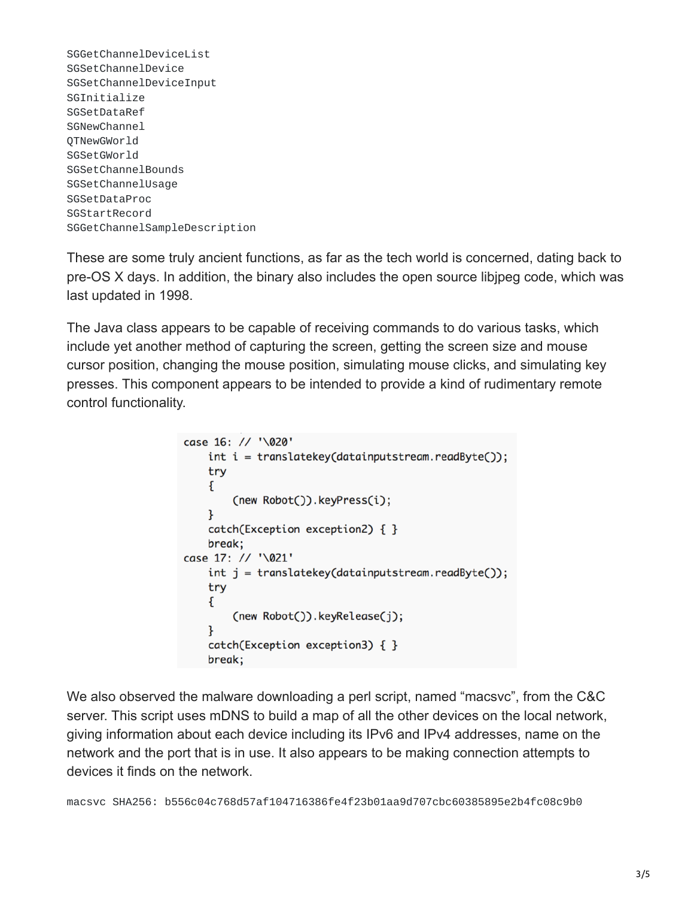SGGetChannelDeviceList SGSetChannelDevice SGSetChannelDeviceInput SGInitialize SGSetDataRef SGNewChannel QTNewGWorld SGSetGWorld SGSetChannelBounds SGSetChannelUsage SGSetDataProc SGStartRecord SGGetChannelSampleDescription

These are some truly ancient functions, as far as the tech world is concerned, dating back to pre-OS X days. In addition, the binary also includes the open source libjpeg code, which was last updated in 1998.

The Java class appears to be capable of receiving commands to do various tasks, which include yet another method of capturing the screen, getting the screen size and mouse cursor position, changing the mouse position, simulating mouse clicks, and simulating key presses. This component appears to be intended to provide a kind of rudimentary remote control functionality.

```
case 16: // '\020'
    int i = translatekey(data inputstream.readByte());try
    €
        (new Robot()).keyPress(i);
    ŀ
    catch(Exception exception2) { }
    break;
case 17: // '\021'
    int j = translatekey(data inputstream.readByte());try
    \{(new Robot()).keyRelease(j);
    ł
    catch(Exception exception3) { }
    break;
```
We also observed the malware downloading a perl script, named "macsvc", from the C&C server. This script uses mDNS to build a map of all the other devices on the local network, giving information about each device including its IPv6 and IPv4 addresses, name on the network and the port that is in use. It also appears to be making connection attempts to devices it finds on the network.

macsvc SHA256: b556c04c768d57af104716386fe4f23b01aa9d707cbc60385895e2b4fc08c9b0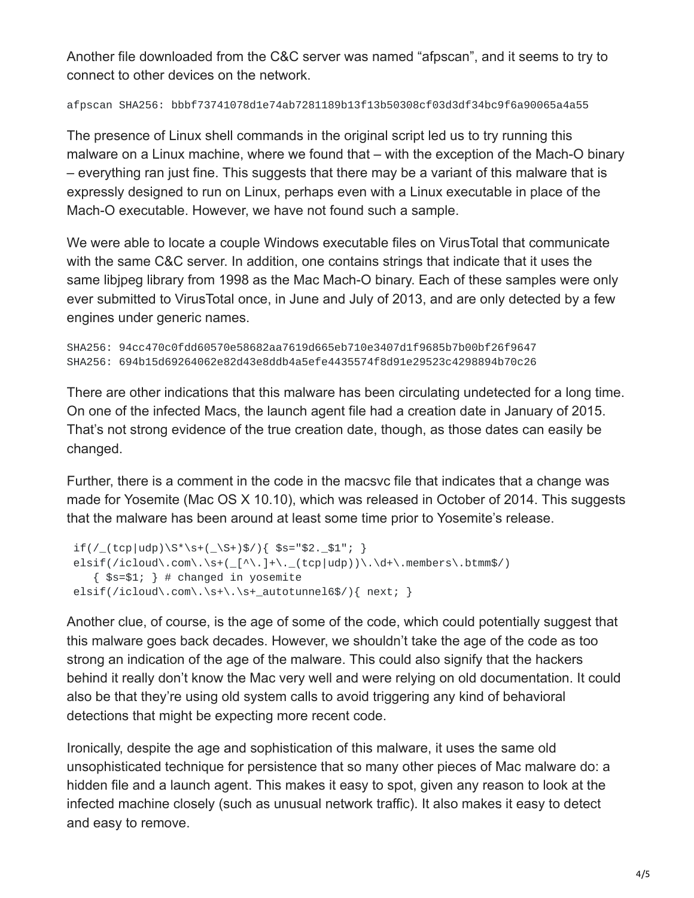Another file downloaded from the C&C server was named "afpscan", and it seems to try to connect to other devices on the network.

afpscan SHA256: bbbf73741078d1e74ab7281189b13f13b50308cf03d3df34bc9f6a90065a4a55

The presence of Linux shell commands in the original script led us to try running this malware on a Linux machine, where we found that – with the exception of the Mach-O binary – everything ran just fine. This suggests that there may be a variant of this malware that is expressly designed to run on Linux, perhaps even with a Linux executable in place of the Mach-O executable. However, we have not found such a sample.

We were able to locate a couple Windows executable files on VirusTotal that communicate with the same C&C server. In addition, one contains strings that indicate that it uses the same libjpeg library from 1998 as the Mac Mach-O binary. Each of these samples were only ever submitted to VirusTotal once, in June and July of 2013, and are only detected by a few engines under generic names.

```
SHA256: 94cc470c0fdd60570e58682aa7619d665eb710e3407d1f9685b7b00bf26f9647
SHA256: 694b15d69264062e82d43e8ddb4a5efe4435574f8d91e29523c4298894b70c26
```
There are other indications that this malware has been circulating undetected for a long time. On one of the infected Macs, the launch agent file had a creation date in January of 2015. That's not strong evidence of the true creation date, though, as those dates can easily be changed.

Further, there is a comment in the code in the macsvc file that indicates that a change was made for Yosemite (Mac OS X 10.10), which was released in October of 2014. This suggests that the malware has been around at least some time prior to Yosemite's release.

```
if(\frac{\text{top}\cdot\text{top}}{\text{top}\cdot\text{top}})\\text{elist}(\text{/icloud}\text{.\,com}\text{.\,}\text{.\,}+\text{(\_[\^\wedge\text{.\,}]+\text{.\,}\_ (top|udp))}\text{.\,}\text{.\,}\text{.\,members}\text{.\,}btmm\\{ $s=$1; \} # changed in yosemite
elsif(/icloud\.com\.\s+\.\s+_autotunnel6$/){ next; }
```
Another clue, of course, is the age of some of the code, which could potentially suggest that this malware goes back decades. However, we shouldn't take the age of the code as too strong an indication of the age of the malware. This could also signify that the hackers behind it really don't know the Mac very well and were relying on old documentation. It could also be that they're using old system calls to avoid triggering any kind of behavioral detections that might be expecting more recent code.

Ironically, despite the age and sophistication of this malware, it uses the same old unsophisticated technique for persistence that so many other pieces of Mac malware do: a hidden file and a launch agent. This makes it easy to spot, given any reason to look at the infected machine closely (such as unusual network traffic). It also makes it easy to detect and easy to remove.